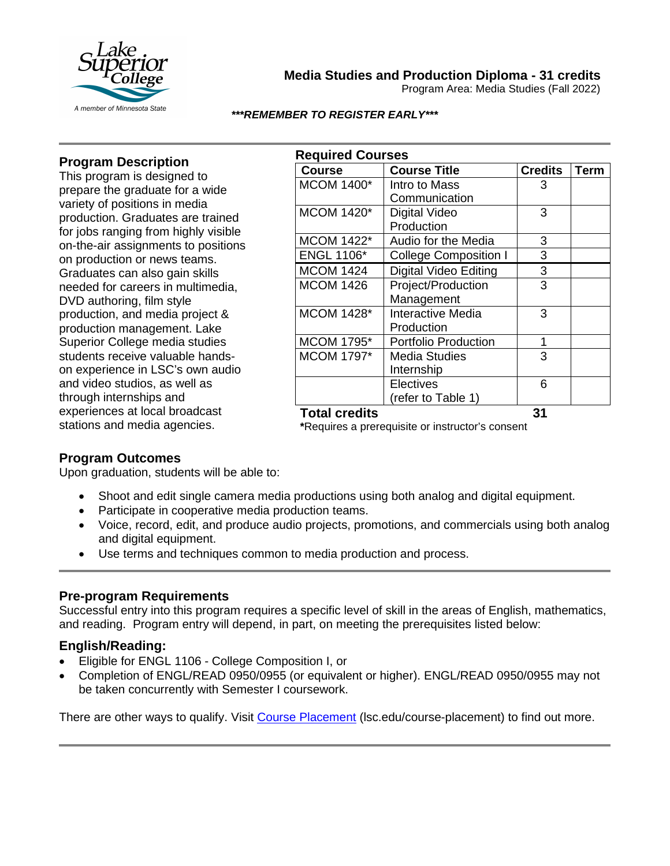

**Media Studies and Production Diploma - 31 credits**

Program Area: Media Studies (Fall 2022)

#### *\*\*\*REMEMBER TO REGISTER EARLY\*\*\**

### **Program Description**

This program is designed to prepare the graduate for a wide variety of positions in media production. Graduates are trained for jobs ranging from highly visible on-the-air assignments to positions on production or news teams. Graduates can also gain skills needed for careers in multimedia, DVD authoring, film style production, and media project & production management. Lake Superior College media studies students receive valuable handson experience in LSC's own audio and video studios, as well as through internships and experiences at local broadcast stations and media agencies.

| <b>Required Courses</b> |                              |                |             |  |
|-------------------------|------------------------------|----------------|-------------|--|
| <b>Course</b>           | <b>Course Title</b>          | <b>Credits</b> | <b>Term</b> |  |
| <b>MCOM 1400*</b>       | Intro to Mass                | 3              |             |  |
|                         | Communication                |                |             |  |
| <b>MCOM 1420*</b>       | Digital Video                | 3              |             |  |
|                         | Production                   |                |             |  |
| <b>MCOM 1422*</b>       | Audio for the Media          | 3              |             |  |
| <b>ENGL 1106*</b>       | <b>College Composition I</b> | 3              |             |  |
| <b>MCOM 1424</b>        | Digital Video Editing        | 3              |             |  |
| <b>MCOM 1426</b>        | Project/Production           | 3              |             |  |
|                         | Management                   |                |             |  |
| <b>MCOM 1428*</b>       | <b>Interactive Media</b>     | 3              |             |  |
|                         | Production                   |                |             |  |
| <b>MCOM 1795*</b>       | <b>Portfolio Production</b>  | 1              |             |  |
| <b>MCOM 1797*</b>       | Media Studies                | 3              |             |  |
|                         | Internship                   |                |             |  |
|                         | <b>Electives</b>             | 6              |             |  |
|                         | (refer to Table 1)           |                |             |  |
| <b>Total credits</b>    |                              | 31             |             |  |

**\***Requires a prerequisite or instructor's consent

### **Program Outcomes**

Upon graduation, students will be able to:

- Shoot and edit single camera media productions using both analog and digital equipment.
- Participate in cooperative media production teams.
- Voice, record, edit, and produce audio projects, promotions, and commercials using both analog and digital equipment.
- Use terms and techniques common to media production and process.

### **Pre-program Requirements**

Successful entry into this program requires a specific level of skill in the areas of English, mathematics, and reading. Program entry will depend, in part, on meeting the prerequisites listed below:

## **English/Reading:**

- Eligible for ENGL 1106 College Composition I, or
- Completion of ENGL/READ 0950/0955 (or equivalent or higher). ENGL/READ 0950/0955 may not be taken concurrently with Semester I coursework.

There are other ways to qualify. Visit [Course Placement](https://www.lsc.edu/course-placement/) (lsc.edu/course-placement) to find out more.